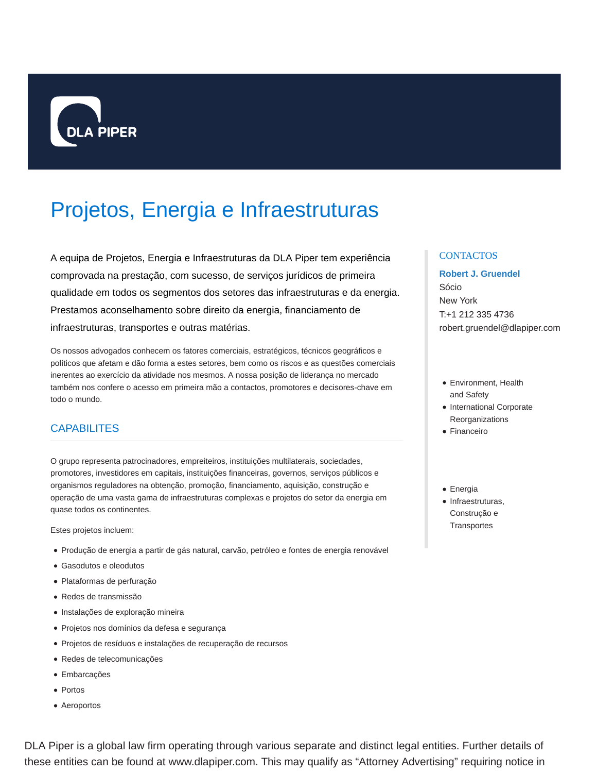

# Projetos, Energia e Infraestruturas

A equipa de Projetos, Energia e Infraestruturas da DLA Piper tem experiência comprovada na prestação, com sucesso, de serviços jurídicos de primeira qualidade em todos os segmentos dos setores das infraestruturas e da energia. Prestamos aconselhamento sobre direito da energia, financiamento de infraestruturas, transportes e outras matérias.

Os nossos advogados conhecem os fatores comerciais, estratégicos, técnicos geográficos e políticos que afetam e dão forma a estes setores, bem como os riscos e as questões comerciais inerentes ao exercício da atividade nos mesmos. A nossa posição de liderança no mercado também nos confere o acesso em primeira mão a contactos, promotores e decisores-chave em todo o mundo.

## **CAPABILITES**

O grupo representa patrocinadores, empreiteiros, instituições multilaterais, sociedades, promotores, investidores em capitais, instituições financeiras, governos, serviços públicos e organismos reguladores na obtenção, promoção, financiamento, aquisição, construção e operação de uma vasta gama de infraestruturas complexas e projetos do setor da energia em quase todos os continentes.

Estes projetos incluem:

- Produção de energia a partir de gás natural, carvão, petróleo e fontes de energia renovável
- Gasodutos e oleodutos
- Plataformas de perfuração
- Redes de transmissão
- Instalações de exploração mineira
- Projetos nos domínios da defesa e segurança
- Projetos de resíduos e instalações de recuperação de recursos
- Redes de telecomunicações
- Embarcações
- Portos
- Aeroportos

## **CONTACTOS**

## **Robert J. Gruendel**

Sócio New York T:+1 212 335 4736 robert.gruendel@dlapiper.com

- Environment, Health and Safety
- International Corporate Reorganizations
- Financeiro
- Energia
- Infraestruturas, Construção e **Transportes**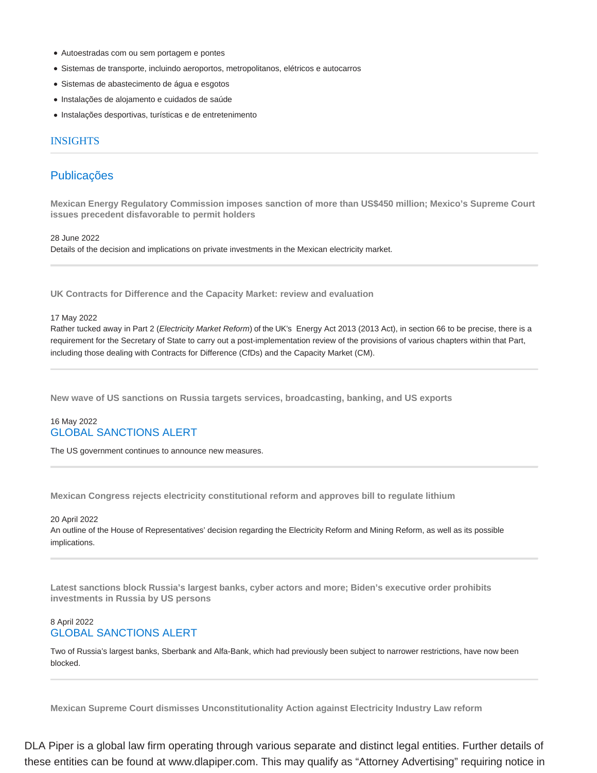- Autoestradas com ou sem portagem e pontes
- Sistemas de transporte, incluindo aeroportos, metropolitanos, elétricos e autocarros
- Sistemas de abastecimento de água e esgotos
- Instalações de alojamento e cuidados de saúde
- Instalações desportivas, turísticas e de entretenimento

#### INSIGHTS

## Publicações

**Mexican Energy Regulatory Commission imposes sanction of more than US\$450 million; Mexico's Supreme Court issues precedent disfavorable to permit holders**

28 June 2022

Details of the decision and implications on private investments in the Mexican electricity market.

**UK Contracts for Difference and the Capacity Market: review and evaluation**

#### 17 May 2022

Rather tucked away in Part 2 (Electricity Market Reform) of the UK's Energy Act 2013 (2013 Act), in section 66 to be precise, there is a requirement for the Secretary of State to carry out a post-implementation review of the provisions of various chapters within that Part, including those dealing with Contracts for Difference (CfDs) and the Capacity Market (CM).

**New wave of US sanctions on Russia targets services, broadcasting, banking, and US exports**

## 16 May 2022 GLOBAL SANCTIONS ALERT

The US government continues to announce new measures.

**Mexican Congress rejects electricity constitutional reform and approves bill to regulate lithium**

20 April 2022

An outline of the House of Representatives' decision regarding the Electricity Reform and Mining Reform, as well as its possible implications.

**Latest sanctions block Russia's largest banks, cyber actors and more; Biden's executive order prohibits investments in Russia by US persons**

## 8 April 2022 GLOBAL SANCTIONS ALERT

Two of Russia's largest banks, Sberbank and Alfa-Bank, which had previously been subject to narrower restrictions, have now been blocked.

**Mexican Supreme Court dismisses Unconstitutionality Action against Electricity Industry Law reform**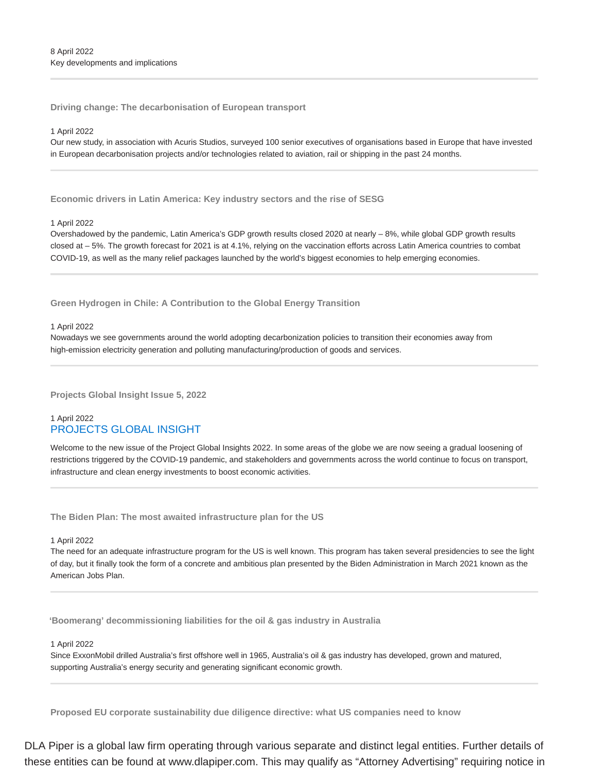**Driving change: The decarbonisation of European transport**

#### 1 April 2022

Our new study, in association with Acuris Studios, surveyed 100 senior executives of organisations based in Europe that have invested in European decarbonisation projects and/or technologies related to aviation, rail or shipping in the past 24 months.

**Economic drivers in Latin America: Key industry sectors and the rise of SESG**

#### 1 April 2022

Overshadowed by the pandemic, Latin America's GDP growth results closed 2020 at nearly – 8%, while global GDP growth results closed at – 5%. The growth forecast for 2021 is at 4.1%, relying on the vaccination efforts across Latin America countries to combat COVID-19, as well as the many relief packages launched by the world's biggest economies to help emerging economies.

**Green Hydrogen in Chile: A Contribution to the Global Energy Transition**

#### 1 April 2022

Nowadays we see governments around the world adopting decarbonization policies to transition their economies away from high-emission electricity generation and polluting manufacturing/production of goods and services.

**Projects Global Insight Issue 5, 2022**

## 1 April 2022 PROJECTS GLOBAL INSIGHT

Welcome to the new issue of the Project Global Insights 2022. In some areas of the globe we are now seeing a gradual loosening of restrictions triggered by the COVID-19 pandemic, and stakeholders and governments across the world continue to focus on transport, infrastructure and clean energy investments to boost economic activities.

**The Biden Plan: The most awaited infrastructure plan for the US**

#### 1 April 2022

The need for an adequate infrastructure program for the US is well known. This program has taken several presidencies to see the light of day, but it finally took the form of a concrete and ambitious plan presented by the Biden Administration in March 2021 known as the American Jobs Plan.

**'Boomerang' decommissioning liabilities for the oil & gas industry in Australia**

1 April 2022

Since ExxonMobil drilled Australia's first offshore well in 1965, Australia's oil & gas industry has developed, grown and matured, supporting Australia's energy security and generating significant economic growth.

**Proposed EU corporate sustainability due diligence directive: what US companies need to know**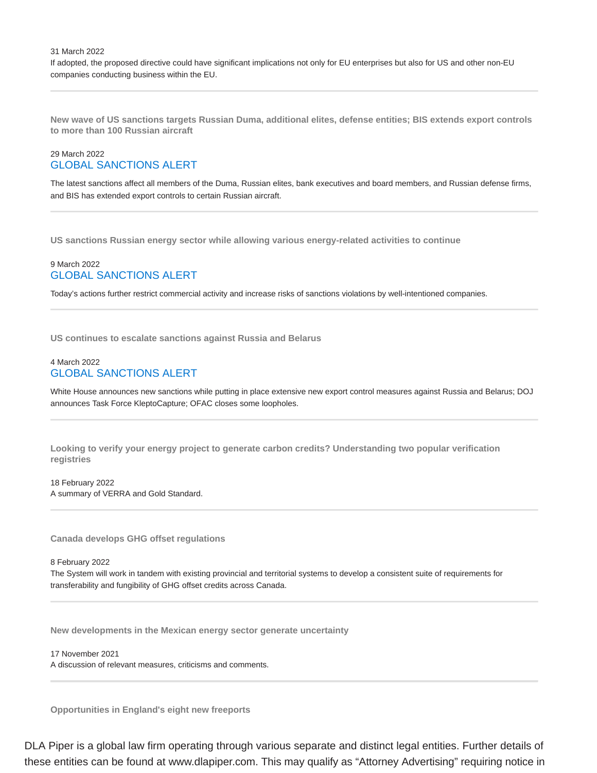31 March 2022 If adopted, the proposed directive could have significant implications not only for EU enterprises but also for US and other non-EU companies conducting business within the EU.

**New wave of US sanctions targets Russian Duma, additional elites, defense entities; BIS extends export controls to more than 100 Russian aircraft**

## 29 March 2022 GLOBAL SANCTIONS ALERT

The latest sanctions affect all members of the Duma, Russian elites, bank executives and board members, and Russian defense firms, and BIS has extended export controls to certain Russian aircraft.

**US sanctions Russian energy sector while allowing various energy-related activities to continue**

## 9 March 2022 GLOBAL SANCTIONS ALERT

Today's actions further restrict commercial activity and increase risks of sanctions violations by well-intentioned companies.

**US continues to escalate sanctions against Russia and Belarus**

## 4 March 2022 GLOBAL SANCTIONS ALERT

White House announces new sanctions while putting in place extensive new export control measures against Russia and Belarus; DOJ announces Task Force KleptoCapture; OFAC closes some loopholes.

**Looking to verify your energy project to generate carbon credits? Understanding two popular verification registries**

18 February 2022 A summary of VERRA and Gold Standard.

**Canada develops GHG offset regulations**

8 February 2022

The System will work in tandem with existing provincial and territorial systems to develop a consistent suite of requirements for transferability and fungibility of GHG offset credits across Canada.

**New developments in the Mexican energy sector generate uncertainty**

17 November 2021 A discussion of relevant measures, criticisms and comments.

**Opportunities in England's eight new freeports**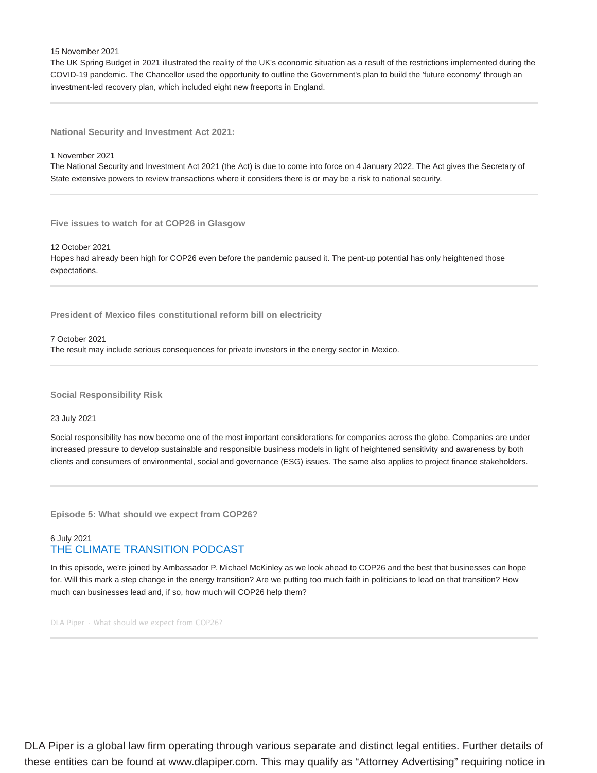15 November 2021

The UK Spring Budget in 2021 illustrated the reality of the UK's economic situation as a result of the restrictions implemented during the COVID-19 pandemic. The Chancellor used the opportunity to outline the Government's plan to build the 'future economy' through an investment-led recovery plan, which included eight new freeports in England.

**National Security and Investment Act 2021:**

1 November 2021

The National Security and Investment Act 2021 (the Act) is due to come into force on 4 January 2022. The Act gives the Secretary of State extensive powers to review transactions where it considers there is or may be a risk to national security.

**Five issues to watch for at COP26 in Glasgow**

12 October 2021 Hopes had already been high for COP26 even before the pandemic paused it. The pent-up potential has only heightened those expectations.

**President of Mexico files constitutional reform bill on electricity**

7 October 2021 The result may include serious consequences for private investors in the energy sector in Mexico.

**Social Responsibility Risk**

23 July 2021

Social responsibility has now become one of the most important considerations for companies across the globe. Companies are under increased pressure to develop sustainable and responsible business models in light of heightened sensitivity and awareness by both clients and consumers of environmental, social and governance (ESG) issues. The same also applies to project finance stakeholders.

**Episode 5: What should we expect from COP26?**

## 6 July 2021 THE CLIMATE TRANSITION PODCAST

In this episode, we're joined by Ambassador P. Michael McKinley as we look ahead to COP26 and the best that businesses can hope for. Will this mark a step change in the energy transition? Are we putting too much faith in politicians to lead on that transition? How much can businesses lead and, if so, how much will COP26 help them?

DLA Piper · What should we expect from COP26?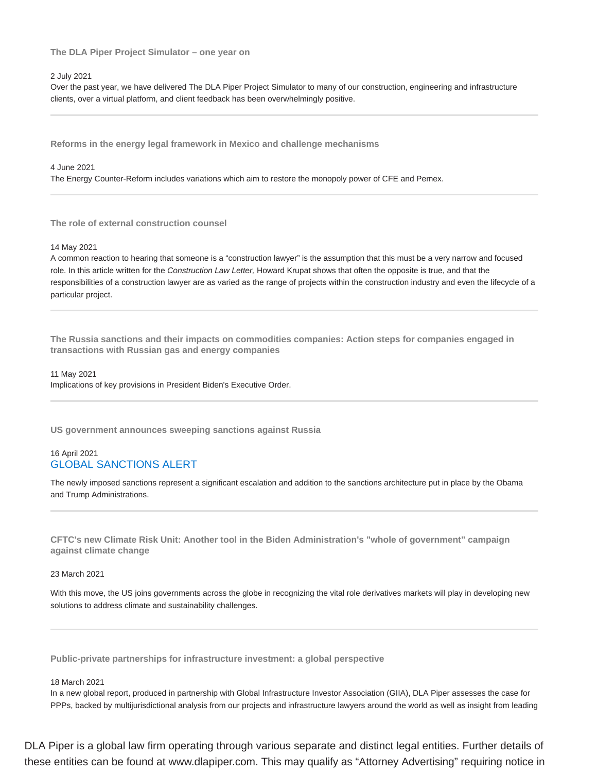**The DLA Piper Project Simulator – one year on**

#### 2 July 2021

Over the past year, we have delivered The DLA Piper Project Simulator to many of our construction, engineering and infrastructure clients, over a virtual platform, and client feedback has been overwhelmingly positive.

**Reforms in the energy legal framework in Mexico and challenge mechanisms**

4 June 2021

The Energy Counter-Reform includes variations which aim to restore the monopoly power of CFE and Pemex.

**The role of external construction counsel**

14 May 2021

A common reaction to hearing that someone is a "construction lawyer" is the assumption that this must be a very narrow and focused role. In this article written for the Construction Law Letter, Howard Krupat shows that often the opposite is true, and that the responsibilities of a construction lawyer are as varied as the range of projects within the construction industry and even the lifecycle of a particular project.

**The Russia sanctions and their impacts on commodities companies: Action steps for companies engaged in transactions with Russian gas and energy companies**

11 May 2021 Implications of key provisions in President Biden's Executive Order.

**US government announces sweeping sanctions against Russia**

## 16 April 2021 GLOBAL SANCTIONS ALERT

The newly imposed sanctions represent a significant escalation and addition to the sanctions architecture put in place by the Obama and Trump Administrations.

**CFTC's new Climate Risk Unit: Another tool in the Biden Administration's "whole of government" campaign against climate change**

23 March 2021

With this move, the US joins governments across the globe in recognizing the vital role derivatives markets will play in developing new solutions to address climate and sustainability challenges.

**Public-private partnerships for infrastructure investment: a global perspective**

#### 18 March 2021

In a new global report, produced in partnership with Global Infrastructure Investor Association (GIIA), DLA Piper assesses the case for PPPs, backed by multijurisdictional analysis from our projects and infrastructure lawyers around the world as well as insight from leading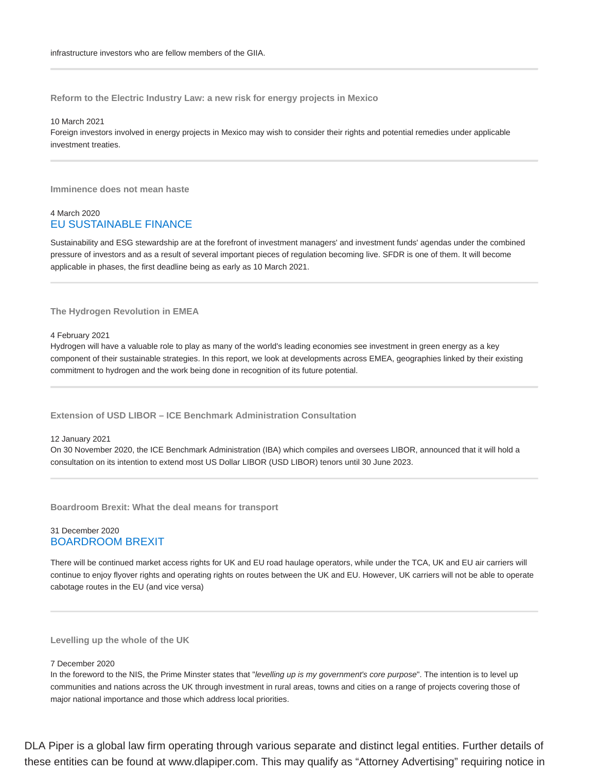**Reform to the Electric Industry Law: a new risk for energy projects in Mexico**

10 March 2021 Foreign investors involved in energy projects in Mexico may wish to consider their rights and potential remedies under applicable investment treaties.

**Imminence does not mean haste**

## 4 March 2020 EU SUSTAINABLE FINANCE

Sustainability and ESG stewardship are at the forefront of investment managers' and investment funds' agendas under the combined pressure of investors and as a result of several important pieces of regulation becoming live. SFDR is one of them. It will become applicable in phases, the first deadline being as early as 10 March 2021.

**The Hydrogen Revolution in EMEA**

4 February 2021

Hydrogen will have a valuable role to play as many of the world's leading economies see investment in green energy as a key component of their sustainable strategies. In this report, we look at developments across EMEA, geographies linked by their existing commitment to hydrogen and the work being done in recognition of its future potential.

**Extension of USD LIBOR – ICE Benchmark Administration Consultation**

12 January 2021

On 30 November 2020, the ICE Benchmark Administration (IBA) which compiles and oversees LIBOR, announced that it will hold a consultation on its intention to extend most US Dollar LIBOR (USD LIBOR) tenors until 30 June 2023.

**Boardroom Brexit: What the deal means for transport**

## 31 December 2020 BOARDROOM BREXIT

There will be continued market access rights for UK and EU road haulage operators, while under the TCA, UK and EU air carriers will continue to enjoy flyover rights and operating rights on routes between the UK and EU. However, UK carriers will not be able to operate cabotage routes in the EU (and vice versa)

**Levelling up the whole of the UK**

7 December 2020

In the foreword to the NIS, the Prime Minster states that "levelling up is my government's core purpose". The intention is to level up communities and nations across the UK through investment in rural areas, towns and cities on a range of projects covering those of major national importance and those which address local priorities.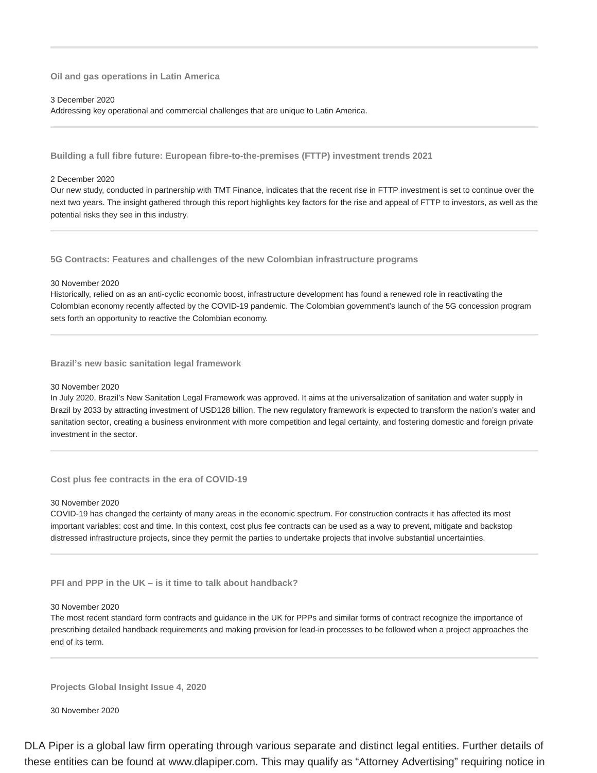#### **Oil and gas operations in Latin America**

#### 3 December 2020

Addressing key operational and commercial challenges that are unique to Latin America.

**Building a full fibre future: European fibre-to-the-premises (FTTP) investment trends 2021**

#### 2 December 2020

Our new study, conducted in partnership with TMT Finance, indicates that the recent rise in FTTP investment is set to continue over the next two years. The insight gathered through this report highlights key factors for the rise and appeal of FTTP to investors, as well as the potential risks they see in this industry.

**5G Contracts: Features and challenges of the new Colombian infrastructure programs**

#### 30 November 2020

Historically, relied on as an anti-cyclic economic boost, infrastructure development has found a renewed role in reactivating the Colombian economy recently affected by the COVID-19 pandemic. The Colombian government's launch of the 5G concession program sets forth an opportunity to reactive the Colombian economy.

**Brazil's new basic sanitation legal framework**

#### 30 November 2020

In July 2020, Brazil's New Sanitation Legal Framework was approved. It aims at the universalization of sanitation and water supply in Brazil by 2033 by attracting investment of USD128 billion. The new regulatory framework is expected to transform the nation's water and sanitation sector, creating a business environment with more competition and legal certainty, and fostering domestic and foreign private investment in the sector.

**Cost plus fee contracts in the era of COVID-19**

#### 30 November 2020

COVID-19 has changed the certainty of many areas in the economic spectrum. For construction contracts it has affected its most important variables: cost and time. In this context, cost plus fee contracts can be used as a way to prevent, mitigate and backstop distressed infrastructure projects, since they permit the parties to undertake projects that involve substantial uncertainties.

**PFI and PPP in the UK – is it time to talk about handback?**

#### 30 November 2020

The most recent standard form contracts and guidance in the UK for PPPs and similar forms of contract recognize the importance of prescribing detailed handback requirements and making provision for lead-in processes to be followed when a project approaches the end of its term.

**Projects Global Insight Issue 4, 2020**

30 November 2020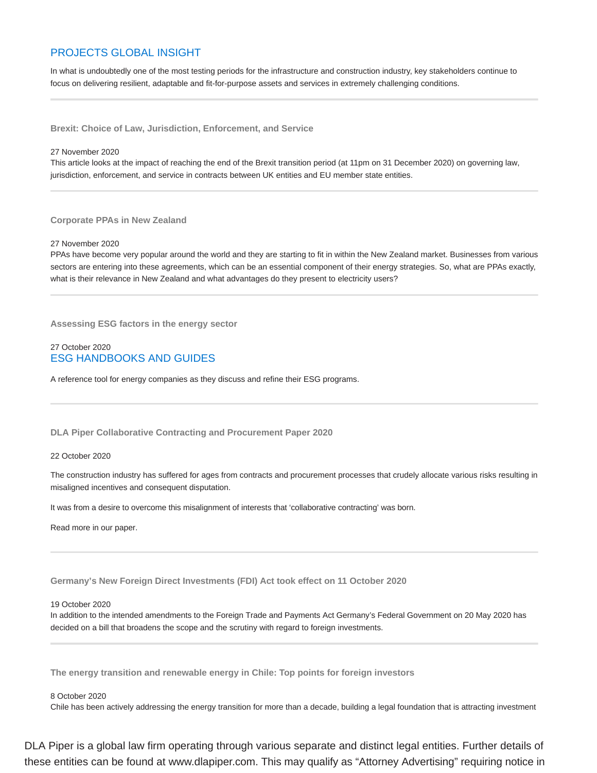## PROJECTS GLOBAL INSIGHT

In what is undoubtedly one of the most testing periods for the infrastructure and construction industry, key stakeholders continue to focus on delivering resilient, adaptable and fit-for-purpose assets and services in extremely challenging conditions.

**Brexit: Choice of Law, Jurisdiction, Enforcement, and Service**

#### 27 November 2020

This article looks at the impact of reaching the end of the Brexit transition period (at 11pm on 31 December 2020) on governing law, jurisdiction, enforcement, and service in contracts between UK entities and EU member state entities.

#### **Corporate PPAs in New Zealand**

#### 27 November 2020

PPAs have become very popular around the world and they are starting to fit in within the New Zealand market. Businesses from various sectors are entering into these agreements, which can be an essential component of their energy strategies. So, what are PPAs exactly, what is their relevance in New Zealand and what advantages do they present to electricity users?

**Assessing ESG factors in the energy sector**

## 27 October 2020 ESG HANDBOOKS AND GUIDES

A reference tool for energy companies as they discuss and refine their ESG programs.

#### **DLA Piper Collaborative Contracting and Procurement Paper 2020**

#### 22 October 2020

The construction industry has suffered for ages from contracts and procurement processes that crudely allocate various risks resulting in misaligned incentives and consequent disputation.

It was from a desire to overcome this misalignment of interests that 'collaborative contracting' was born.

Read more in our paper.

**Germany's New Foreign Direct Investments (FDI) Act took effect on 11 October 2020**

#### 19 October 2020

In addition to the intended amendments to the Foreign Trade and Payments Act Germany's Federal Government on 20 May 2020 has decided on a bill that broadens the scope and the scrutiny with regard to foreign investments.

**The energy transition and renewable energy in Chile: Top points for foreign investors**

#### 8 October 2020

Chile has been actively addressing the energy transition for more than a decade, building a legal foundation that is attracting investment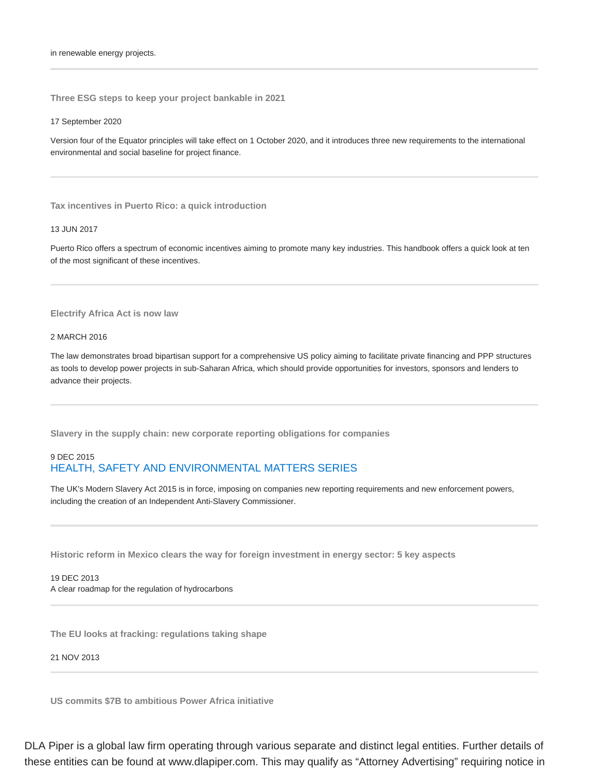in renewable energy projects.

**Three ESG steps to keep your project bankable in 2021**

#### 17 September 2020

Version four of the Equator principles will take effect on 1 October 2020, and it introduces three new requirements to the international environmental and social baseline for project finance.

**Tax incentives in Puerto Rico: a quick introduction**

#### 13 JUN 2017

Puerto Rico offers a spectrum of economic incentives aiming to promote many key industries. This handbook offers a quick look at ten of the most significant of these incentives.

## **Electrify Africa Act is now law**

#### 2 MARCH 2016

The law demonstrates broad bipartisan support for a comprehensive US policy aiming to facilitate private financing and PPP structures as tools to develop power projects in sub-Saharan Africa, which should provide opportunities for investors, sponsors and lenders to advance their projects.

**Slavery in the supply chain: new corporate reporting obligations for companies**

## 9 DEC 2015 HEALTH, SAFETY AND ENVIRONMENTAL MATTERS SERIES

The UK's Modern Slavery Act 2015 is in force, imposing on companies new reporting requirements and new enforcement powers, including the creation of an Independent Anti-Slavery Commissioner.

**Historic reform in Mexico clears the way for foreign investment in energy sector: 5 key aspects**

## 19 DEC 2013 A clear roadmap for the regulation of hydrocarbons

**The EU looks at fracking: regulations taking shape**

#### 21 NOV 2013

**US commits \$7B to ambitious Power Africa initiative**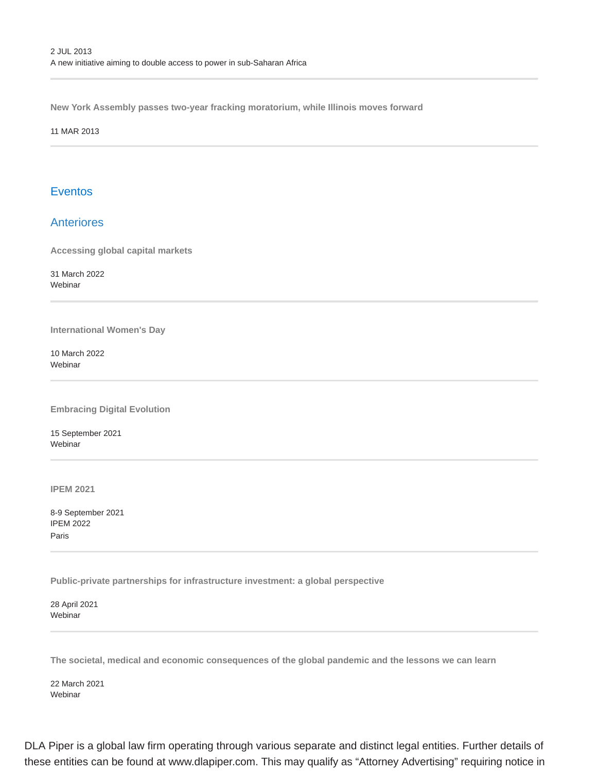**New York Assembly passes two-year fracking moratorium, while Illinois moves forward**

11 MAR 2013

## **Eventos**

## **Anteriores**

**Accessing global capital markets**

31 March 2022 Webinar

**International Women's Day**

10 March 2022 Webinar

**Embracing Digital Evolution**

15 September 2021 Webinar

**IPEM 2021**

8-9 September 2021 IPEM 2022 Paris

**Public-private partnerships for infrastructure investment: a global perspective**

28 April 2021 Webinar

**The societal, medical and economic consequences of the global pandemic and the lessons we can learn**

22 March 2021 Webinar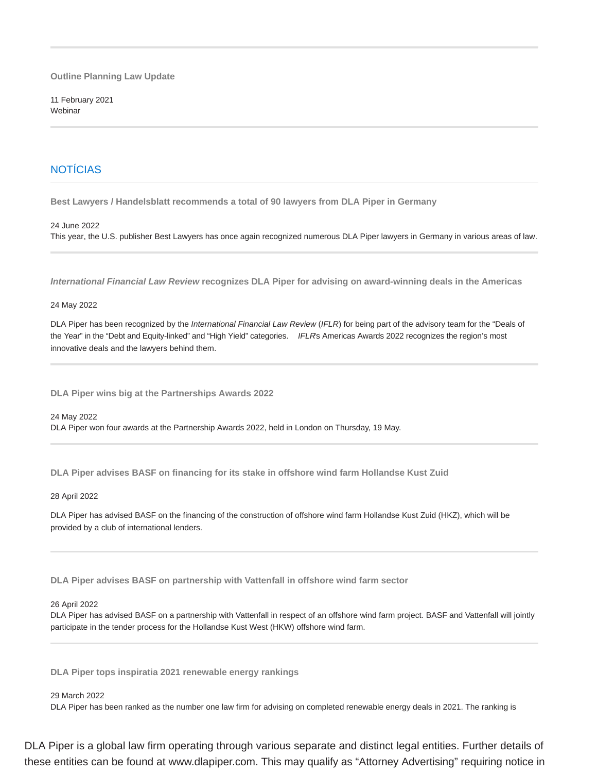**Outline Planning Law Update**

11 February 2021 Webinar

## NOTÍCIAS

**Best Lawyers / Handelsblatt recommends a total of 90 lawyers from DLA Piper in Germany**

24 June 2022

This year, the U.S. publisher Best Lawyers has once again recognized numerous DLA Piper lawyers in Germany in various areas of law.

**International Financial Law Review recognizes DLA Piper for advising on award-winning deals in the Americas**

#### 24 May 2022

DLA Piper has been recognized by the International Financial Law Review (IFLR) for being part of the advisory team for the "Deals of the Year" in the "Debt and Equity-linked" and "High Yield" categories. IFLRs Americas Awards 2022 recognizes the region's most innovative deals and the lawyers behind them.

**DLA Piper wins big at the Partnerships Awards 2022**

24 May 2022 DLA Piper won four awards at the Partnership Awards 2022, held in London on Thursday, 19 May.

**DLA Piper advises BASF on financing for its stake in offshore wind farm Hollandse Kust Zuid**

28 April 2022

DLA Piper has advised BASF on the financing of the construction of offshore wind farm Hollandse Kust Zuid (HKZ), which will be provided by a club of international lenders.

**DLA Piper advises BASF on partnership with Vattenfall in offshore wind farm sector**

#### 26 April 2022

DLA Piper has advised BASF on a partnership with Vattenfall in respect of an offshore wind farm project. BASF and Vattenfall will jointly participate in the tender process for the Hollandse Kust West (HKW) offshore wind farm.

**DLA Piper tops inspiratia 2021 renewable energy rankings**

29 March 2022

DLA Piper has been ranked as the number one law firm for advising on completed renewable energy deals in 2021. The ranking is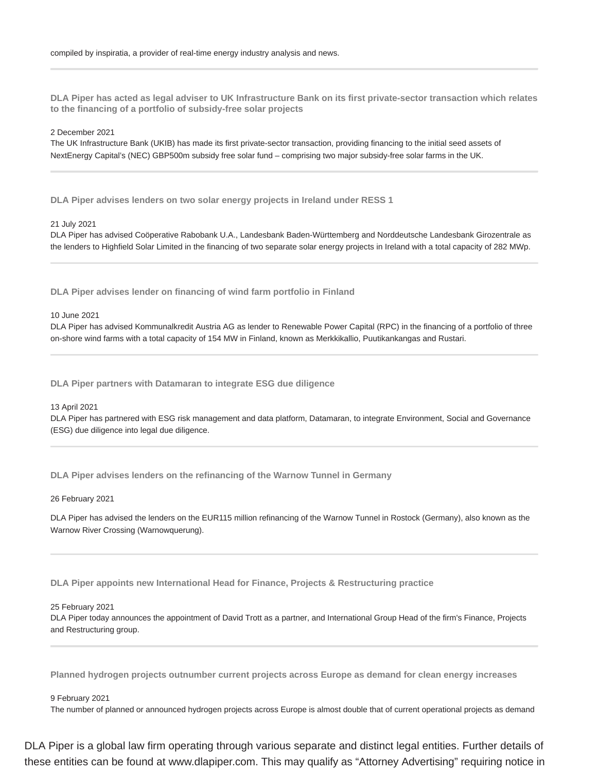**DLA Piper has acted as legal adviser to UK Infrastructure Bank on its first private-sector transaction which relates to the financing of a portfolio of subsidy-free solar projects**

#### 2 December 2021

The UK Infrastructure Bank (UKIB) has made its first private-sector transaction, providing financing to the initial seed assets of NextEnergy Capital's (NEC) GBP500m subsidy free solar fund – comprising two major subsidy-free solar farms in the UK.

**DLA Piper advises lenders on two solar energy projects in Ireland under RESS 1**

21 July 2021

DLA Piper has advised Coöperative Rabobank U.A., Landesbank Baden-Württemberg and Norddeutsche Landesbank Girozentrale as the lenders to Highfield Solar Limited in the financing of two separate solar energy projects in Ireland with a total capacity of 282 MWp.

**DLA Piper advises lender on financing of wind farm portfolio in Finland**

#### 10 June 2021

DLA Piper has advised Kommunalkredit Austria AG as lender to Renewable Power Capital (RPC) in the financing of a portfolio of three on-shore wind farms with a total capacity of 154 MW in Finland, known as Merkkikallio, Puutikankangas and Rustari.

**DLA Piper partners with Datamaran to integrate ESG due diligence**

#### 13 April 2021

DLA Piper has partnered with ESG risk management and data platform, Datamaran, to integrate Environment, Social and Governance (ESG) due diligence into legal due diligence.

**DLA Piper advises lenders on the refinancing of the Warnow Tunnel in Germany**

26 February 2021

DLA Piper has advised the lenders on the EUR115 million refinancing of the Warnow Tunnel in Rostock (Germany), also known as the Warnow River Crossing (Warnowquerung).

**DLA Piper appoints new International Head for Finance, Projects & Restructuring practice**

#### 25 February 2021

DLA Piper today announces the appointment of David Trott as a partner, and International Group Head of the firm's Finance, Projects and Restructuring group.

**Planned hydrogen projects outnumber current projects across Europe as demand for clean energy increases**

#### 9 February 2021

The number of planned or announced hydrogen projects across Europe is almost double that of current operational projects as demand